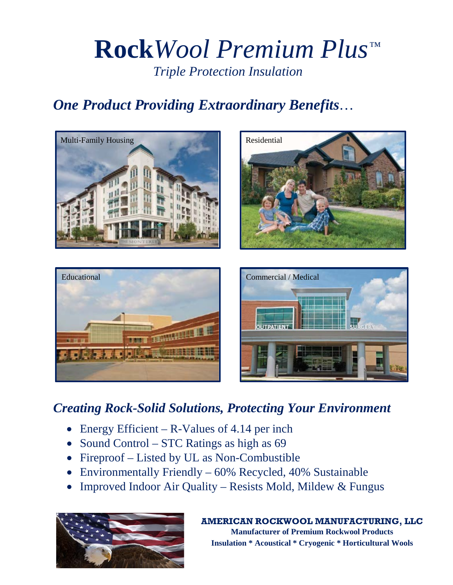# **Rock***Wool Premium Plus Triple Protection Insulation* ™

## *One Product Providing Extraordinary Benefits*…









## *Creating Rock-Solid Solutions, Protecting Your Environment*

- Energy Efficient R-Values of 4.14 per inch
- Sound Control STC Ratings as high as 69
- Fireproof Listed by UL as Non-Combustible
- Environmentally Friendly 60% Recycled, 40% Sustainable
- Improved Indoor Air Quality Resists Mold, Mildew & Fungus



### **AMERICAN ROCKWOOL MANUFACTURING, LLC**

**Manufacturer of Premium Rockwool Products Insulation \* Acoustical \* Cryogenic \* Horticultural Wools**